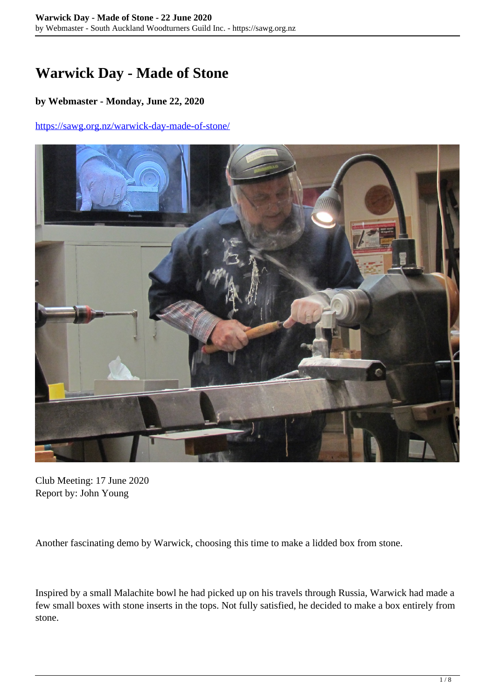## **Warwick Day - Made of Stone**

## **by Webmaster - Monday, June 22, 2020**

## <https://sawg.org.nz/warwick-day-made-of-stone/>



Club Meeting: 17 June 2020 Report by: John Young

Another fascinating demo by Warwick, choosing this time to make a lidded box from stone.

Inspired by a small Malachite bowl he had picked up on his travels through Russia, Warwick had made a few small boxes with stone inserts in the tops. Not fully satisfied, he decided to make a box entirely from stone.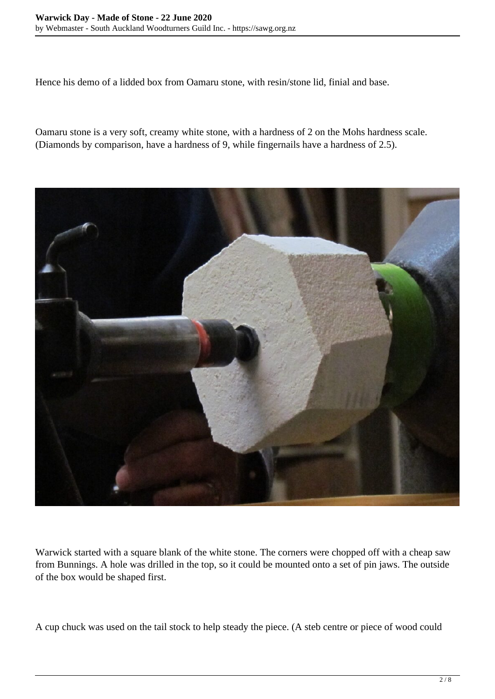Hence his demo of a lidded box from Oamaru stone, with resin/stone lid, finial and base.

Oamaru stone is a very soft, creamy white stone, with a hardness of 2 on the Mohs hardness scale. (Diamonds by comparison, have a hardness of 9, while fingernails have a hardness of 2.5).



Warwick started with a square blank of the white stone. The corners were chopped off with a cheap saw from Bunnings. A hole was drilled in the top, so it could be mounted onto a set of pin jaws. The outside of the box would be shaped first.

A cup chuck was used on the tail stock to help steady the piece. (A steb centre or piece of wood could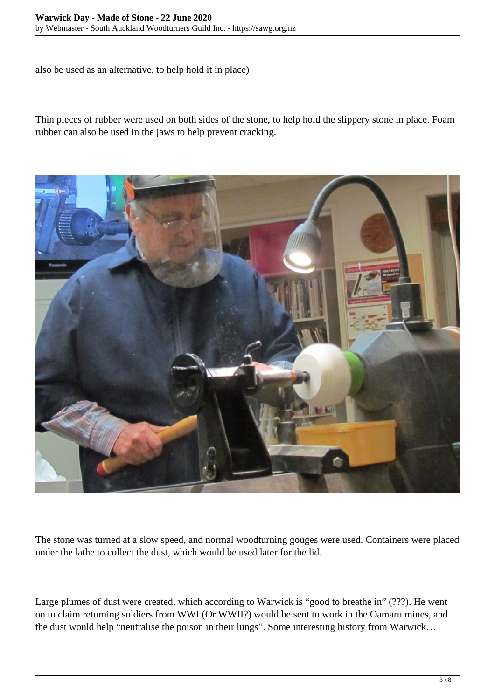also be used as an alternative, to help hold it in place)

Thin pieces of rubber were used on both sides of the stone, to help hold the slippery stone in place. Foam rubber can also be used in the jaws to help prevent cracking.



The stone was turned at a slow speed, and normal woodturning gouges were used. Containers were placed under the lathe to collect the dust, which would be used later for the lid.

Large plumes of dust were created, which according to Warwick is "good to breathe in" (???). He went on to claim returning soldiers from WWI (Or WWII?) would be sent to work in the Oamaru mines, and the dust would help "neutralise the poison in their lungs". Some interesting history from Warwick…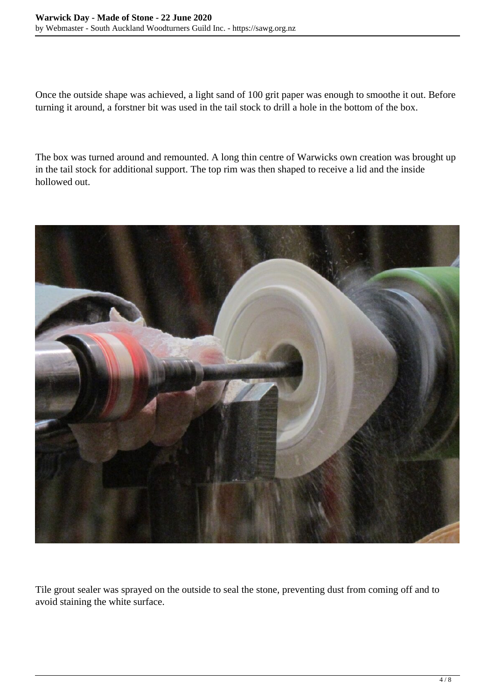Once the outside shape was achieved, a light sand of 100 grit paper was enough to smoothe it out. Before turning it around, a forstner bit was used in the tail stock to drill a hole in the bottom of the box.

The box was turned around and remounted. A long thin centre of Warwicks own creation was brought up in the tail stock for additional support. The top rim was then shaped to receive a lid and the inside hollowed out.



Tile grout sealer was sprayed on the outside to seal the stone, preventing dust from coming off and to avoid staining the white surface.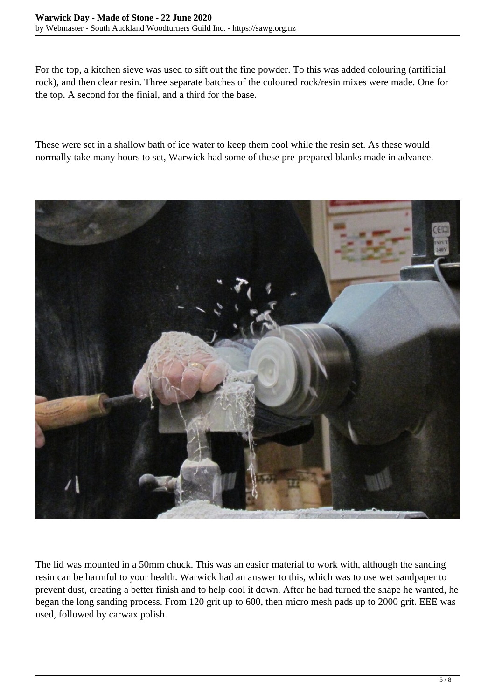For the top, a kitchen sieve was used to sift out the fine powder. To this was added colouring (artificial rock), and then clear resin. Three separate batches of the coloured rock/resin mixes were made. One for the top. A second for the finial, and a third for the base.

These were set in a shallow bath of ice water to keep them cool while the resin set. As these would normally take many hours to set, Warwick had some of these pre-prepared blanks made in advance.



The lid was mounted in a 50mm chuck. This was an easier material to work with, although the sanding resin can be harmful to your health. Warwick had an answer to this, which was to use wet sandpaper to prevent dust, creating a better finish and to help cool it down. After he had turned the shape he wanted, he began the long sanding process. From 120 grit up to 600, then micro mesh pads up to 2000 grit. EEE was used, followed by carwax polish.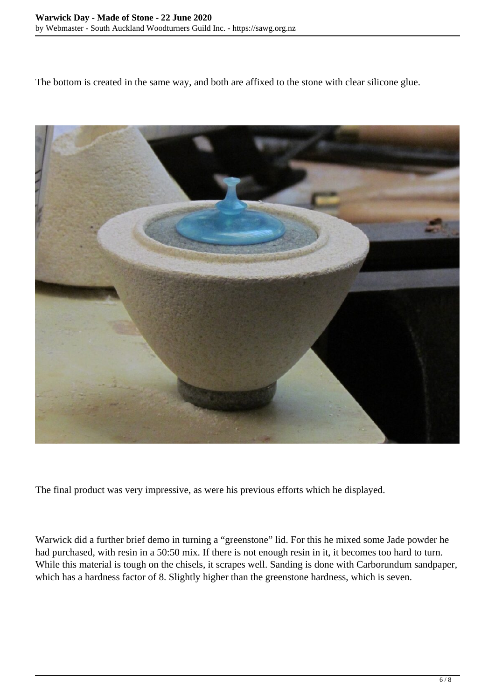The bottom is created in the same way, and both are affixed to the stone with clear silicone glue.



The final product was very impressive, as were his previous efforts which he displayed.

Warwick did a further brief demo in turning a "greenstone" lid. For this he mixed some Jade powder he had purchased, with resin in a 50:50 mix. If there is not enough resin in it, it becomes too hard to turn. While this material is tough on the chisels, it scrapes well. Sanding is done with Carborundum sandpaper, which has a hardness factor of 8. Slightly higher than the greenstone hardness, which is seven.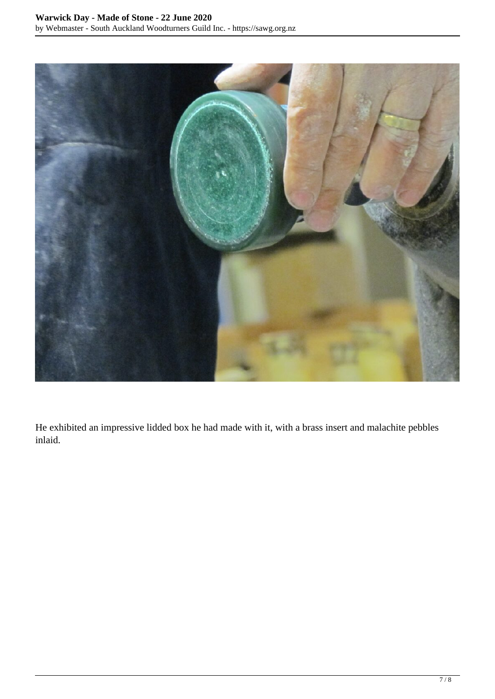

He exhibited an impressive lidded box he had made with it, with a brass insert and malachite pebbles inlaid.